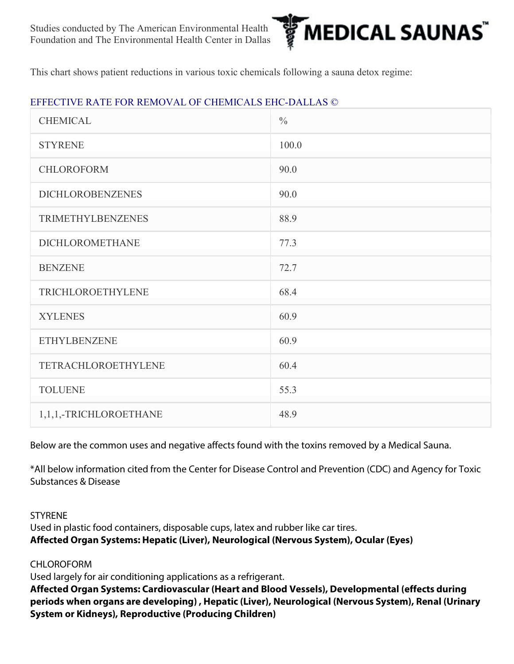

This chart shows patient reductions in various toxic chemicals following a sauna detox regime:

### EFFECTIVE RATE FOR REMOVAL OF CHEMICALS EHC-DALLAS ©

| <b>CHEMICAL</b>          | $\frac{0}{0}$ |
|--------------------------|---------------|
| <b>STYRENE</b>           | 100.0         |
| CHLOROFORM               | 90.0          |
| <b>DICHLOROBENZENES</b>  | 90.0          |
| <b>TRIMETHYLBENZENES</b> | 88.9          |
| <b>DICHLOROMETHANE</b>   | 77.3          |
| <b>BENZENE</b>           | 72.7          |
| TRICHLOROETHYLENE        | 68.4          |
| <b>XYLENES</b>           | 60.9          |
| <b>ETHYLBENZENE</b>      | 60.9          |
| TETRACHLOROETHYLENE      | 60.4          |
| <b>TOLUENE</b>           | 55.3          |
| 1,1,1,-TRICHLOROETHANE   | 48.9          |

Below are the common uses and negative affects found with the toxins removed by a Medical Sauna.

\*All below information cited from the Center for Disease Control and Prevention (CDC) and Agency for Toxic Substances & Disease

**STYRENE** 

Used in plastic food containers, disposable cups, latex and rubber like car tires. Affected Organ Systems: Hepatic (Liver), Neurological (Nervous System), Ocular (Eyes)

CHLOROFORM

Used largely for air conditioning applications as a refrigerant.

Affected Organ Systems: Cardiovascular (Heart and Blood Vessels), Developmental (effects during periods when organs are developing) , Hepatic (Liver), Neurological (Nervous System), Renal (Urinary System or Kidneys), Reproductive (Producing Children)